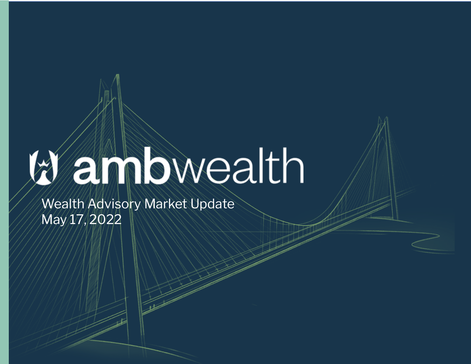# Wannbwealth

**Wealth Advisory Market Update** May 17, 2022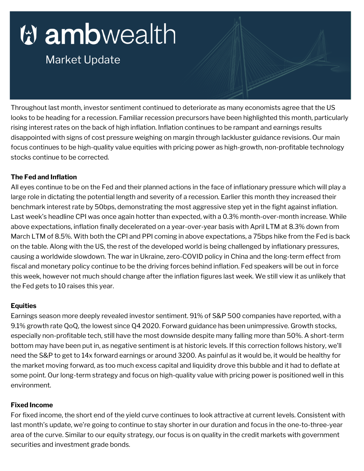## tambwealth

### **Market Update**

Throughout last month, investor sentiment continued to deteriorate as many economists agree that the US looks to be heading for a recession. Familiar recession precursors have been highlighted this month, particularly rising interest rates on the back of high inflation. Inflation continues to be rampant and earnings results disappointed with signs of cost pressure weighing on margin through lackluster guidance revisions. Our main focus continues to be high-quality value equities with pricing power as high-growth, non-profitable technology stocks continue to be corrected.

#### **The Fed and Inflation**

All eyes continue to be on the Fed and their planned actions in the face of inflationary pressure which will play a large role in dictating the potential length and severity of a recession. Earlier this month they increased their benchmark interest rate by 50bps, demonstrating the most aggressive step yet in the fight against inflation. Last week's headline CPI was once again hotter than expected, with a 0.3% month-over-month increase. While above expectations, inflation finally decelerated on a year-over-year basis with April LTM at 8.3% down from March LTM of 8.5%. With both the CPI and PPI coming in above expectations, a 75bps hike from the Fed is back on the table. Along with the US, the rest of the developed world is being challenged by inflationary pressures, causing a worldwide slowdown. The war in Ukraine, zero-COVID policy in China and the long-term effect from fiscal and monetary policy continue to be the driving forces behind inflation. Fed speakers will be out in force this week, however not much should change after the inflation figures last week. We still view it as unlikely that the Fed gets to 10 raises this year.

#### **Equities**

Earnings season more deeply revealed investor sentiment. 91% of S&P 500 companies have reported, with a 9.1% growth rate QoQ, the lowest since Q4 2020. Forward guidance has been unimpressive. Growth stocks, especially non-profitable tech, still have the most downside despite many falling more than 50%. A short-term bottom may have been put in, as negative sentiment is at historic levels. If this correction follows history, we'll need the S&P to get to 14x forward earnings or around 3200. As painful as it would be, it would be healthy for the market moving forward, as too much excess capital and liquidity drove this bubble and it had to deflate at some point. Our long-term strategy and focus on high-quality value with pricing power is positioned well in this environment.

#### **Fixed Income**

For fixed income, the short end of the yield curve continues to look attractive at current levels. Consistent with last month's update, we're going to continue to stay shorter in our duration and focus in the one-to-three-year area of the curve. Similar to our equity strategy, our focus is on quality in the credit markets with government securities and investment grade bonds.